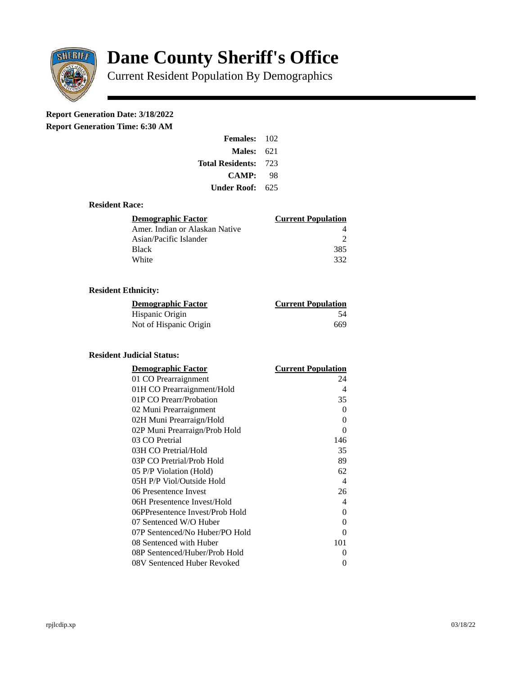

# **Dane County Sheriff's Office**

Current Resident Population By Demographics

# **Report Generation Date: 3/18/2022**

**Report Generation Time: 6:30 AM** 

| <b>Females: 102</b>     |       |  |
|-------------------------|-------|--|
| Males:                  | 621   |  |
| <b>Total Residents:</b> | - 723 |  |
| <b>CAMP:</b>            | 98    |  |
| Under Roof:             | 625   |  |

#### **Resident Race:**

| Demographic Factor             | <b>Current Population</b> |
|--------------------------------|---------------------------|
| Amer. Indian or Alaskan Native |                           |
| Asian/Pacific Islander         | ר                         |
| Black                          | 385                       |
| White                          | 332                       |

## **Resident Ethnicity:**

| <u> Demographic Factor</u> | <b>Current Population</b> |
|----------------------------|---------------------------|
| Hispanic Origin            | 54                        |
| Not of Hispanic Origin     | 669                       |

#### **Resident Judicial Status:**

| <b>Demographic Factor</b>       | <b>Current Population</b>  |
|---------------------------------|----------------------------|
| 01 CO Prearraignment            | 24                         |
| 01H CO Prearraignment/Hold      | 4                          |
| 01P CO Prearr/Probation         | 35                         |
| 02 Muni Prearraignment          | 0                          |
| 02H Muni Prearraign/Hold        | 0                          |
| 02P Muni Prearraign/Prob Hold   | 0                          |
| 03 CO Pretrial                  | 146                        |
| 03H CO Pretrial/Hold            | 35                         |
| 03P CO Pretrial/Prob Hold       | 89                         |
| 05 P/P Violation (Hold)         | 62                         |
| 05H P/P Viol/Outside Hold       | $\boldsymbol{\mathcal{A}}$ |
| 06 Presentence Invest           | 26                         |
| 06H Presentence Invest/Hold     | 4                          |
| 06PPresentence Invest/Prob Hold | 0                          |
| 07 Sentenced W/O Huber          | 0                          |
| 07P Sentenced/No Huber/PO Hold  | 0                          |
| 08 Sentenced with Huber         | 101                        |
| 08P Sentenced/Huber/Prob Hold   | 0                          |
| 08V Sentenced Huber Revoked     | 0                          |